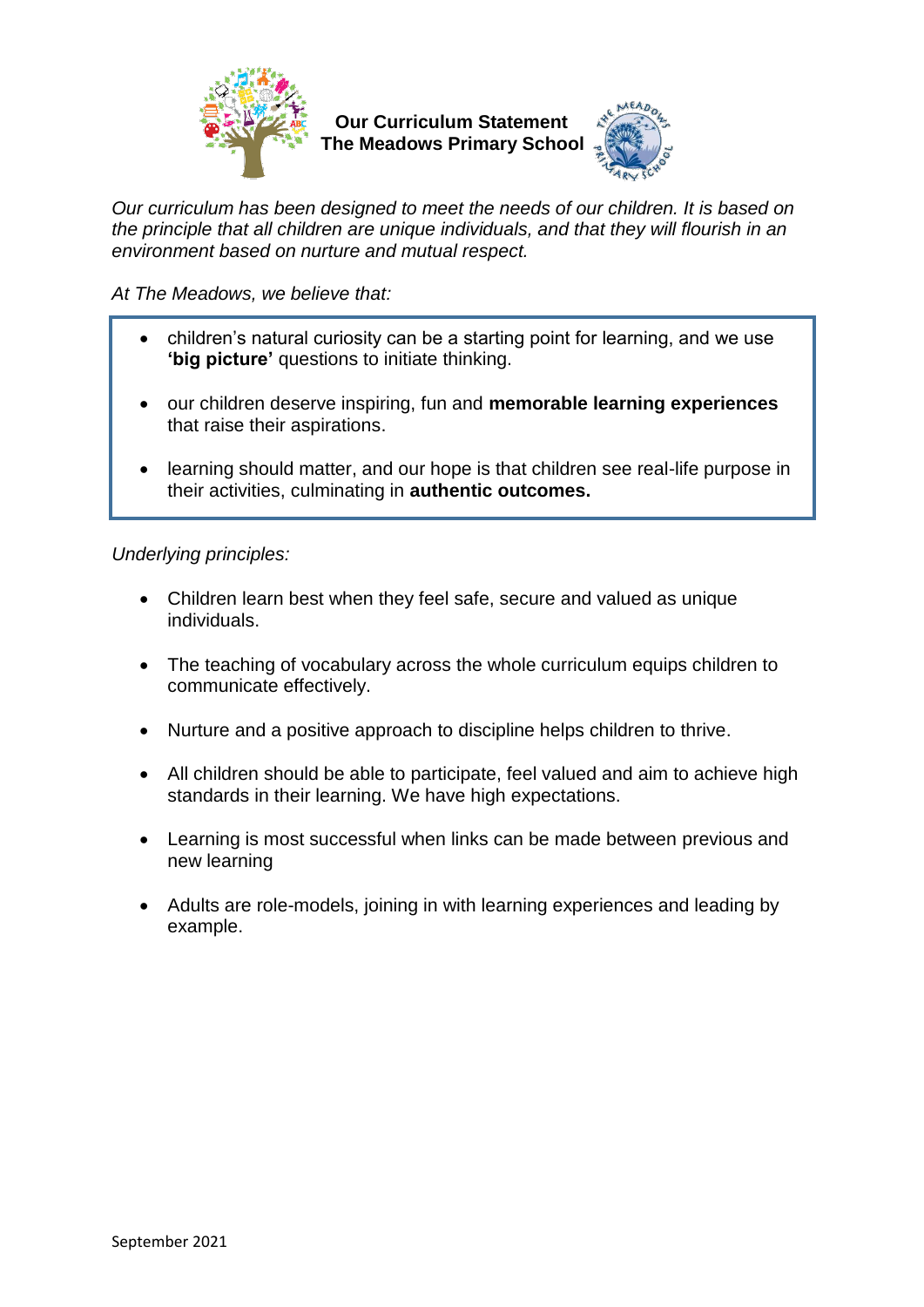

**Our Curriculum Statement The Meadows Primary School**



*Our curriculum has been designed to meet the needs of our children. It is based on the principle that all children are unique individuals, and that they will flourish in an environment based on nurture and mutual respect.* 

*At The Meadows, we believe that:*

- children's natural curiosity can be a starting point for learning, and we use **'big picture'** questions to initiate thinking.
- our children deserve inspiring, fun and **memorable learning experiences** that raise their aspirations.
- learning should matter, and our hope is that children see real-life purpose in their activities, culminating in **authentic outcomes.**

*Underlying principles:*

- Children learn best when they feel safe, secure and valued as unique individuals.
- The teaching of vocabulary across the whole curriculum equips children to communicate effectively.
- Nurture and a positive approach to discipline helps children to thrive.
- All children should be able to participate, feel valued and aim to achieve high standards in their learning. We have high expectations.
- Learning is most successful when links can be made between previous and new learning
- Adults are role-models, joining in with learning experiences and leading by example.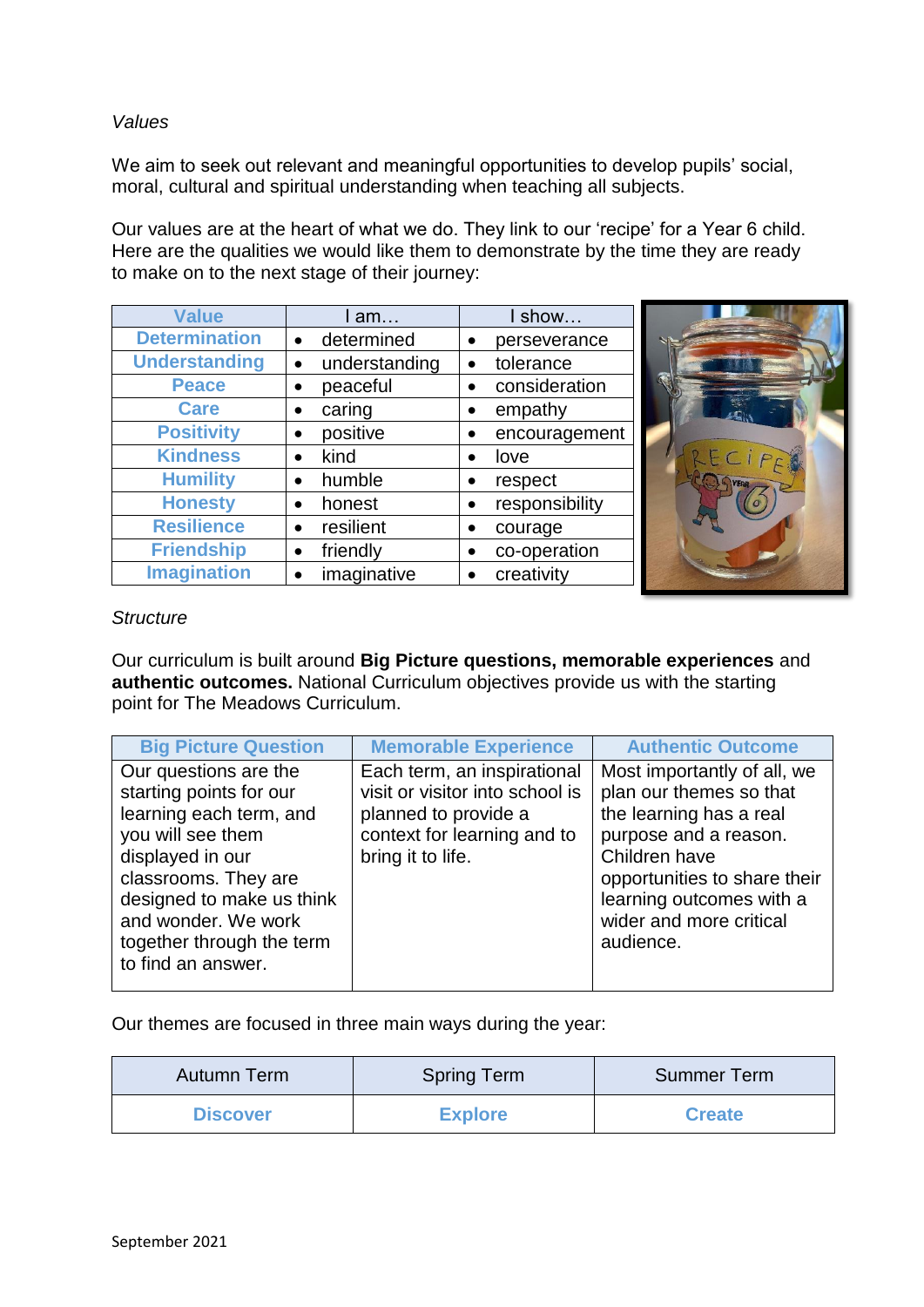# *Values*

We aim to seek out relevant and meaningful opportunities to develop pupils' social, moral, cultural and spiritual understanding when teaching all subjects.

Our values are at the heart of what we do. They link to our 'recipe' for a Year 6 child. Here are the qualities we would like them to demonstrate by the time they are ready to make on to the next stage of their journey:

| <b>Value</b>         |                         | show           |  |
|----------------------|-------------------------|----------------|--|
|                      | l am…                   |                |  |
| <b>Determination</b> | determined<br>$\bullet$ | perseverance   |  |
| <b>Understanding</b> | understanding           | tolerance      |  |
| <b>Peace</b>         | peaceful<br>$\bullet$   | consideration  |  |
| <b>Care</b>          | caring                  | empathy        |  |
| <b>Positivity</b>    | positive                | encouragement  |  |
| <b>Kindness</b>      | kind                    | love           |  |
| <b>Humility</b>      | humble<br>$\bullet$     | respect        |  |
| <b>Honesty</b>       | honest<br>$\bullet$     | responsibility |  |
| <b>Resilience</b>    | resilient               | courage        |  |
| <b>Friendship</b>    | friendly                | co-operation   |  |
| <b>Imagination</b>   | imaginative             | creativity     |  |

# *Structure*

Our curriculum is built around **Big Picture questions, memorable experiences** and **authentic outcomes.** National Curriculum objectives provide us with the starting point for The Meadows Curriculum.

| <b>Big Picture Question</b>                                                                                                                                                                                                                         | <b>Memorable Experience</b>                                                                                                                | <b>Authentic Outcome</b>                                                                                                                                                                                                        |
|-----------------------------------------------------------------------------------------------------------------------------------------------------------------------------------------------------------------------------------------------------|--------------------------------------------------------------------------------------------------------------------------------------------|---------------------------------------------------------------------------------------------------------------------------------------------------------------------------------------------------------------------------------|
| Our questions are the<br>starting points for our<br>learning each term, and<br>you will see them<br>displayed in our<br>classrooms. They are<br>designed to make us think<br>and wonder. We work<br>together through the term<br>to find an answer. | Each term, an inspirational<br>visit or visitor into school is<br>planned to provide a<br>context for learning and to<br>bring it to life. | Most importantly of all, we<br>plan our themes so that<br>the learning has a real<br>purpose and a reason.<br>Children have<br>opportunities to share their<br>learning outcomes with a<br>wider and more critical<br>audience. |
|                                                                                                                                                                                                                                                     |                                                                                                                                            |                                                                                                                                                                                                                                 |

Our themes are focused in three main ways during the year:

| Autumn Term     | <b>Spring Term</b> | <b>Summer Term</b> |
|-----------------|--------------------|--------------------|
| <b>Discover</b> | <b>Explore</b>     | <b>Create</b>      |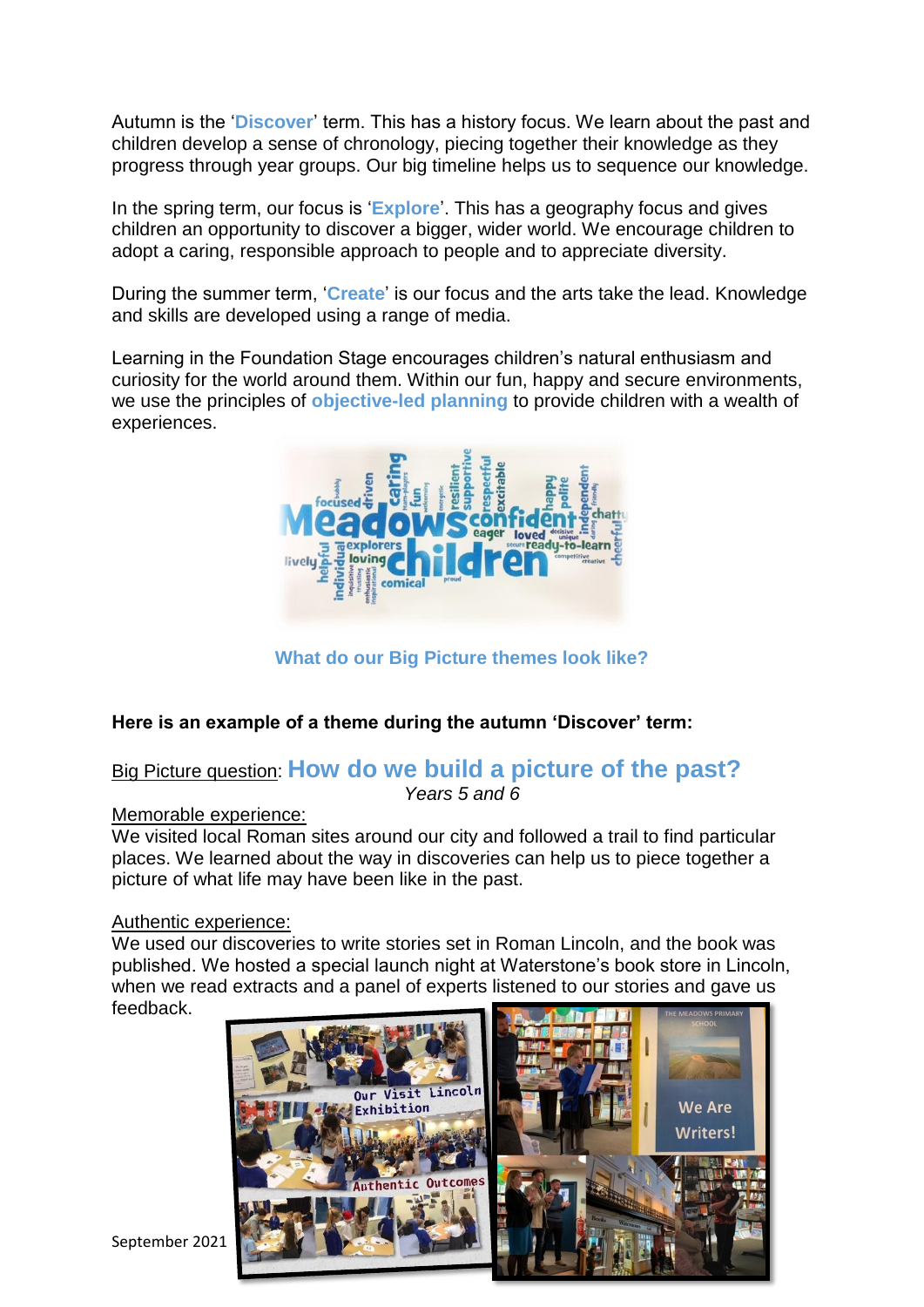Autumn is the '**Discover**' term. This has a history focus. We learn about the past and children develop a sense of chronology, piecing together their knowledge as they progress through year groups. Our big timeline helps us to sequence our knowledge.

In the spring term, our focus is '**Explore**'. This has a geography focus and gives children an opportunity to discover a bigger, wider world. We encourage children to adopt a caring, responsible approach to people and to appreciate diversity.

During the summer term, '**Create**' is our focus and the arts take the lead. Knowledge and skills are developed using a range of media.

Learning in the Foundation Stage encourages children's natural enthusiasm and curiosity for the world around them. Within our fun, happy and secure environments, we use the principles of **objective-led planning** to provide children with a wealth of experiences.



**What do our Big Picture themes look like?**

# **Here is an example of a theme during the autumn 'Discover' term:**

# Big Picture question: **How do we build a picture of the past?** *Years 5 and 6*

### Memorable experience:

We visited local Roman sites around our city and followed a trail to find particular places. We learned about the way in discoveries can help us to piece together a picture of what life may have been like in the past.

### Authentic experience:

We used our discoveries to write stories set in Roman Lincoln, and the book was published. We hosted a special launch night at Waterstone's book store in Lincoln, when we read extracts and a panel of experts listened to our stories and gave us feedback.